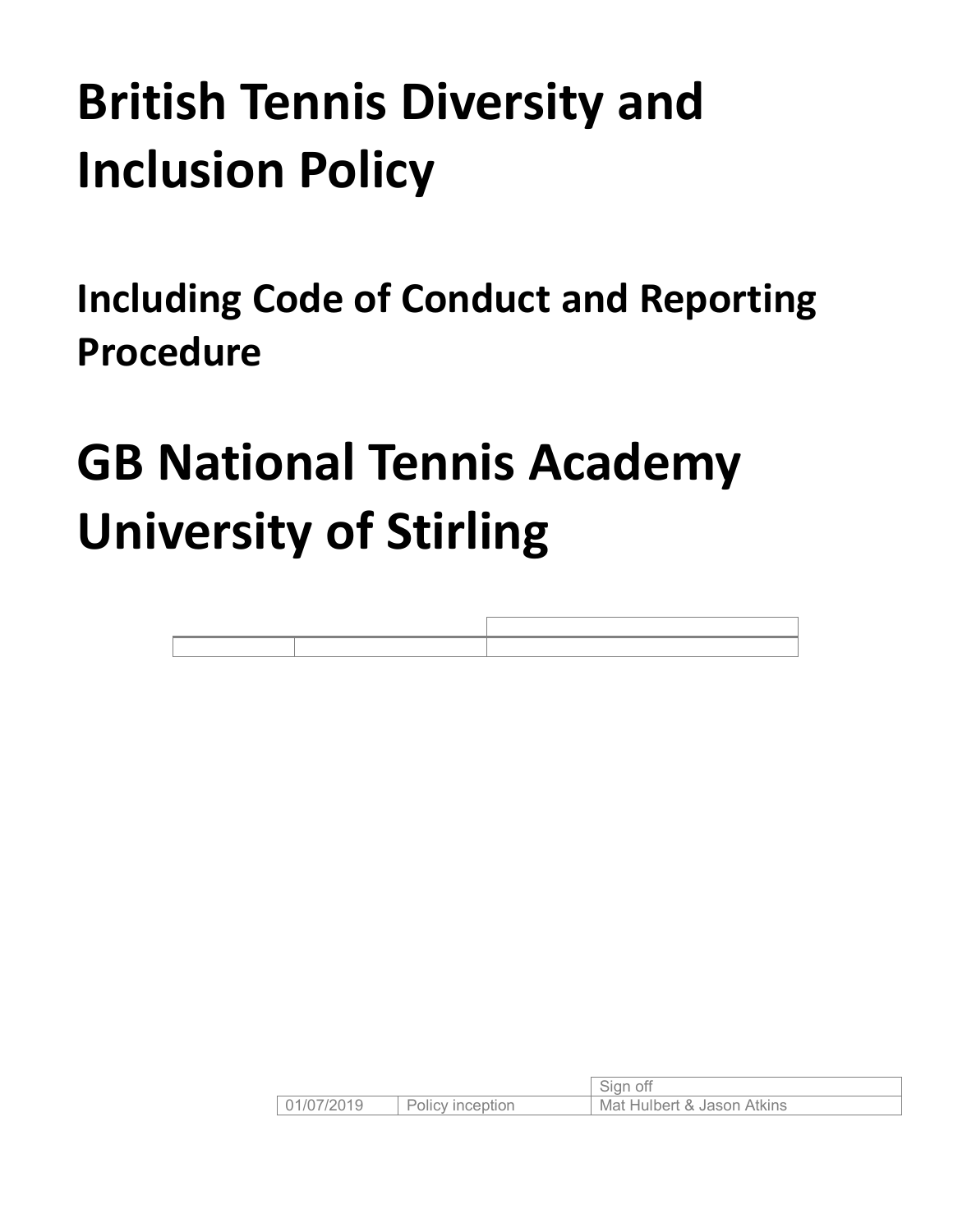# **British Tennis Diversity and Inclusion Policy**

<span id="page-0-0"></span>**Including Code of Conduct and Reporting Procedure**

# **GB National Tennis Academy University of Stirling**

|            |                  | sian                       |
|------------|------------------|----------------------------|
| 01/07/2019 | Policy inception | Mat Hulbert & Jason Atkins |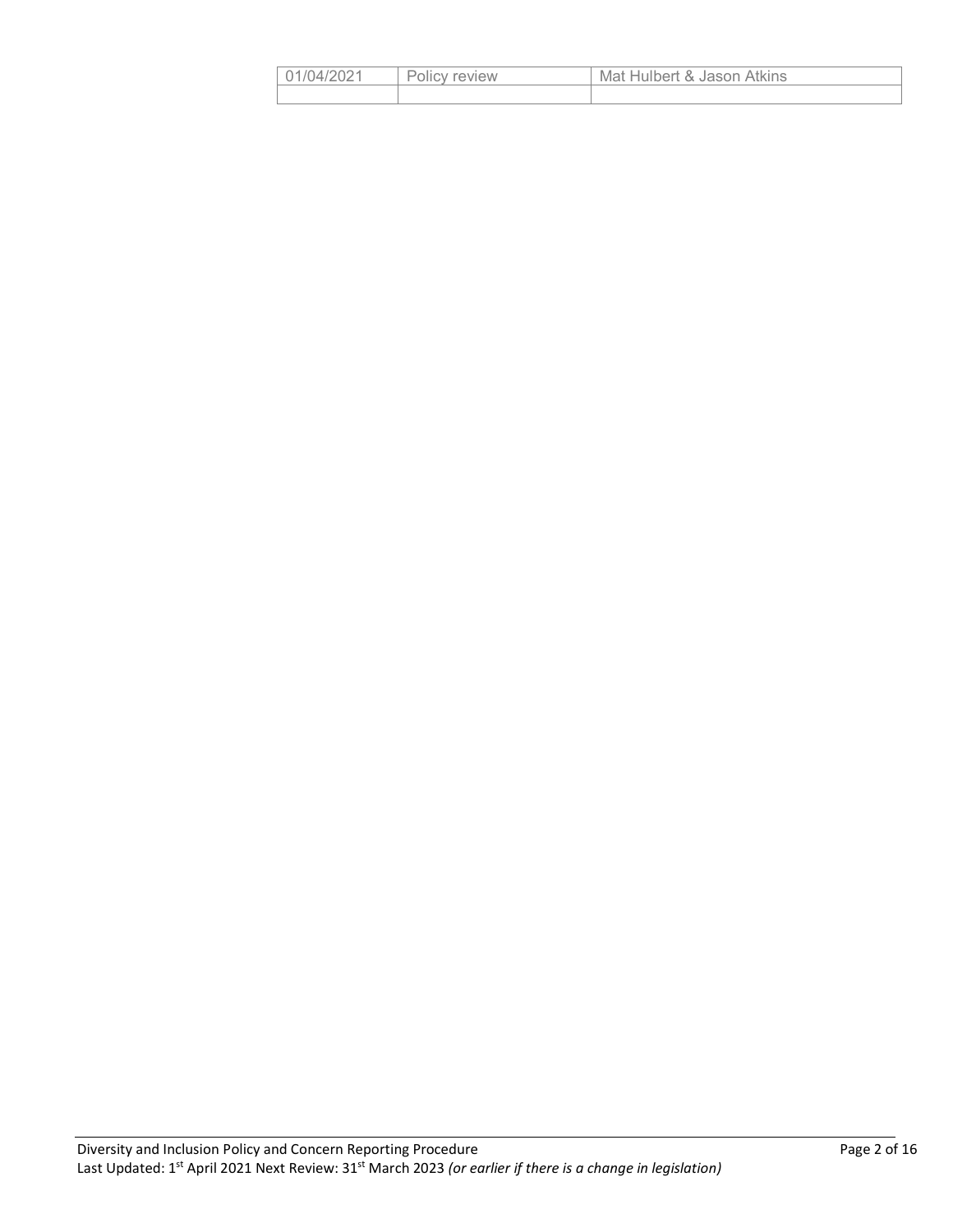| 01/04/2021 | Policy review | Mat Hulbert & Jason Atkins |
|------------|---------------|----------------------------|
|            |               |                            |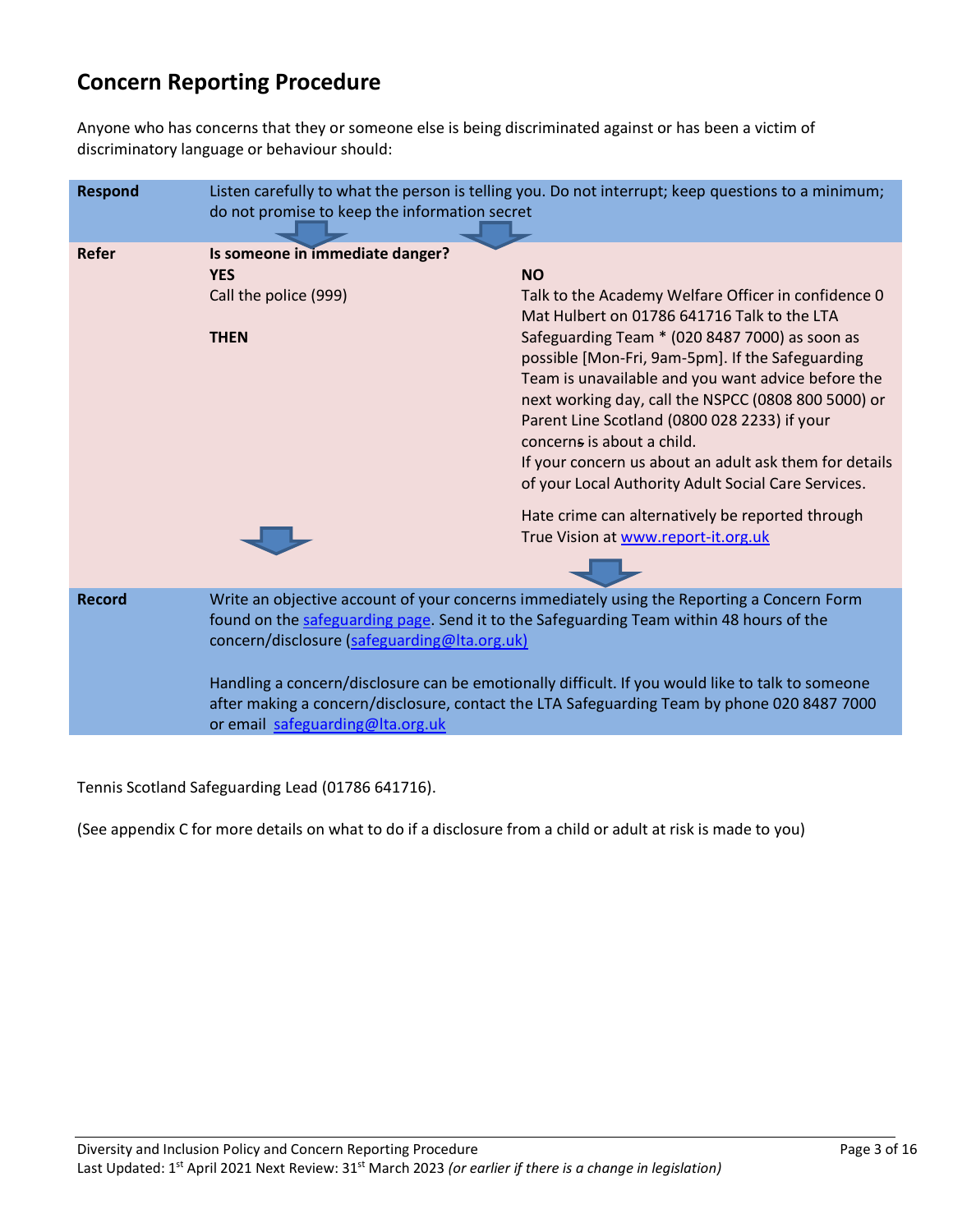# **Concern Reporting Procedure**

Anyone who has concerns that they or someone else is being discriminated against or has been a victim of discriminatory language or behaviour should:

| <b>Respond</b> | Listen carefully to what the person is telling you. Do not interrupt; keep questions to a minimum;<br>do not promise to keep the information secret                                                                                   |                                                                                                               |  |  |
|----------------|---------------------------------------------------------------------------------------------------------------------------------------------------------------------------------------------------------------------------------------|---------------------------------------------------------------------------------------------------------------|--|--|
| Refer          | Is someone in immediate danger?                                                                                                                                                                                                       |                                                                                                               |  |  |
|                | <b>YES</b>                                                                                                                                                                                                                            | <b>NO</b>                                                                                                     |  |  |
|                | Call the police (999)                                                                                                                                                                                                                 | Talk to the Academy Welfare Officer in confidence 0<br>Mat Hulbert on 01786 641716 Talk to the LTA            |  |  |
|                | <b>THEN</b>                                                                                                                                                                                                                           | Safeguarding Team * (020 8487 7000) as soon as<br>possible [Mon-Fri, 9am-5pm]. If the Safeguarding            |  |  |
|                |                                                                                                                                                                                                                                       | Team is unavailable and you want advice before the<br>next working day, call the NSPCC (0808 800 5000) or     |  |  |
|                |                                                                                                                                                                                                                                       | Parent Line Scotland (0800 028 2233) if your<br>concerns is about a child.                                    |  |  |
|                |                                                                                                                                                                                                                                       | If your concern us about an adult ask them for details<br>of your Local Authority Adult Social Care Services. |  |  |
|                |                                                                                                                                                                                                                                       | Hate crime can alternatively be reported through<br>True Vision at www.report-it.org.uk                       |  |  |
|                |                                                                                                                                                                                                                                       |                                                                                                               |  |  |
| <b>Record</b>  | Write an objective account of your concerns immediately using the Reporting a Concern Form<br>found on the safeguarding page. Send it to the Safeguarding Team within 48 hours of the<br>concern/disclosure (safeguarding@Ita.org.uk) |                                                                                                               |  |  |
|                | Handling a concern/disclosure can be emotionally difficult. If you would like to talk to someone<br>after making a concern/disclosure, contact the LTA Safeguarding Team by phone 020 8487 7000<br>or email safeguarding@Ita.org.uk   |                                                                                                               |  |  |

Tennis Scotland Safeguarding Lead (01786 641716).

(See appendix C for more details on what to do if a disclosure from a child or adult at risk is made to you)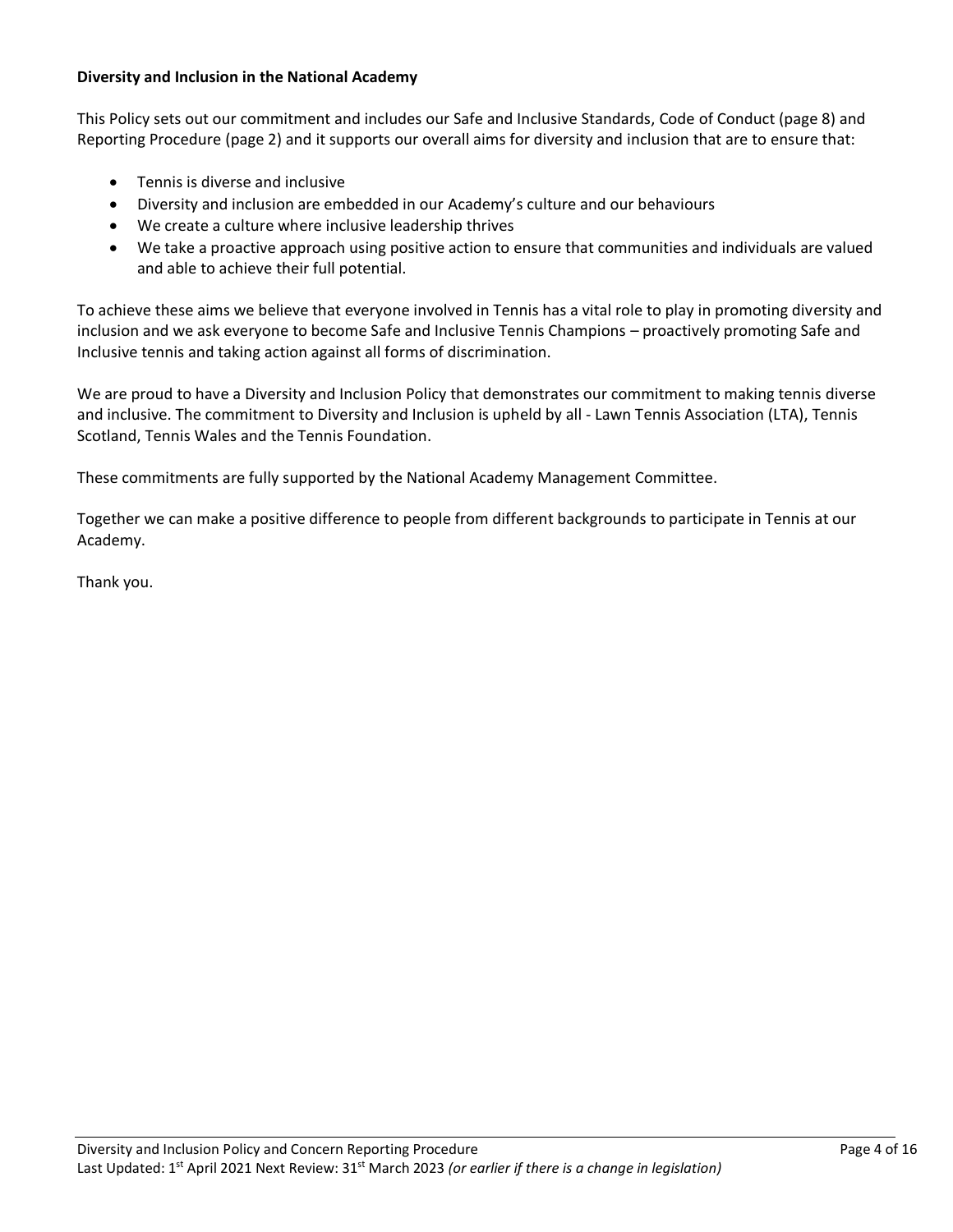## **Diversity and Inclusion in the National Academy**

This Policy sets out our commitment and includes our Safe and Inclusive Standards, Code of Conduct (page 8) and Reporting Procedure (page 2) and it supports our overall aims for diversity and inclusion that are to ensure that:

- Tennis is diverse and inclusive
- Diversity and inclusion are embedded in our Academy's culture and our behaviours
- We create a culture where inclusive leadership thrives
- We take a proactive approach using positive action to ensure that communities and individuals are valued and able to achieve their full potential.

To achieve these aims we believe that everyone involved in Tennis has a vital role to play in promoting diversity and inclusion and we ask everyone to become Safe and Inclusive Tennis Champions – proactively promoting Safe and Inclusive tennis and taking action against all forms of discrimination.

We are proud to have a Diversity and Inclusion Policy that demonstrates our commitment to making tennis diverse and inclusive. The commitment to Diversity and Inclusion is upheld by all - Lawn Tennis Association (LTA), Tennis Scotland, Tennis Wales and the Tennis Foundation.

These commitments are fully supported by the National Academy Management Committee.

Together we can make a positive difference to people from different backgrounds to participate in Tennis at our Academy.

Thank you.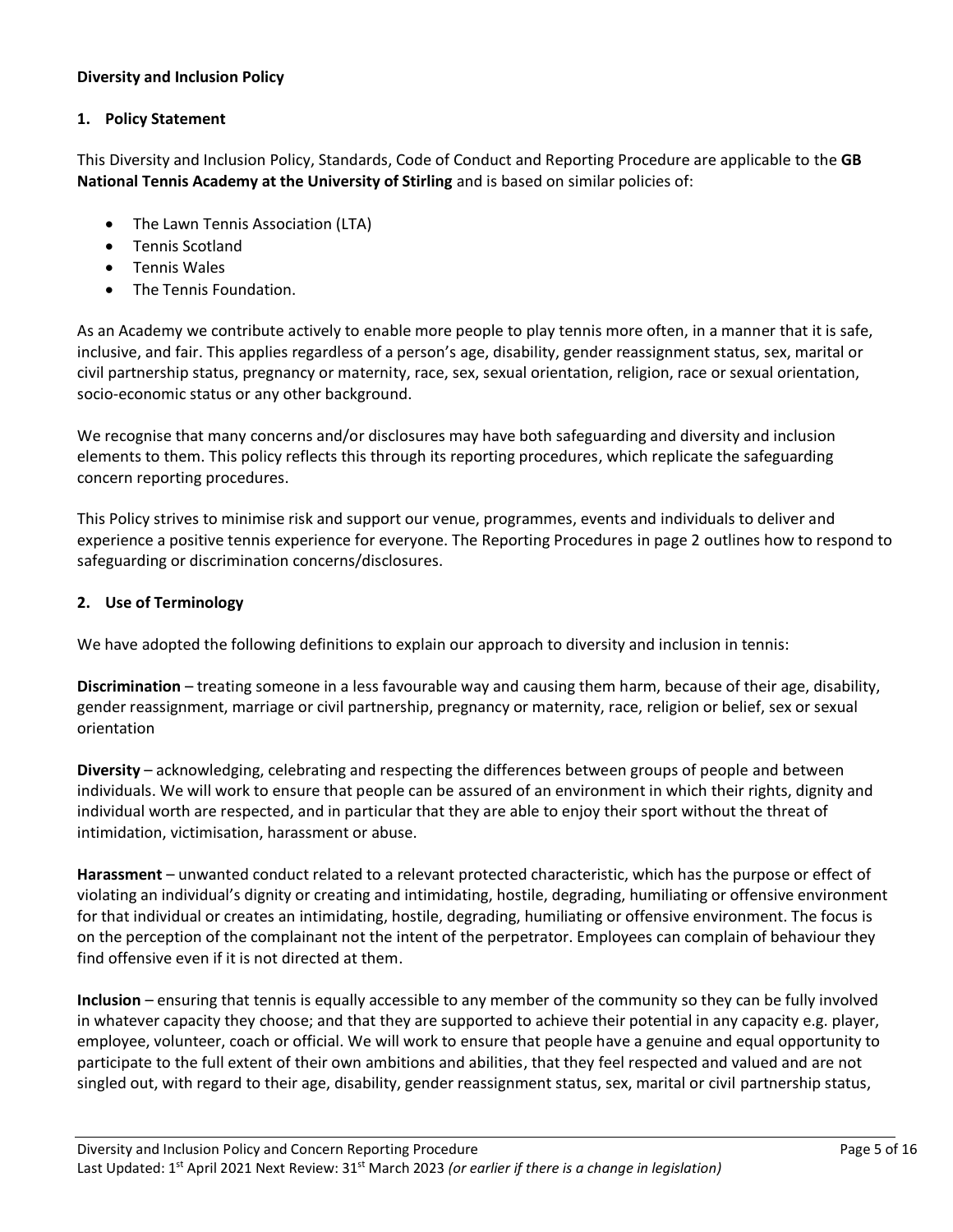## **Diversity and Inclusion Policy**

#### **1. Policy Statement**

This Diversity and Inclusion Policy, Standards, Code of Conduct and Reporting Procedure are applicable to the **GB National Tennis Academy at the University of Stirling** and is based on similar policies of:

- The Lawn Tennis Association (LTA)
- Tennis Scotland
- Tennis Wales
- The Tennis Foundation.

As an Academy we contribute actively to enable more people to play tennis more often, in a manner that it is safe, inclusive, and fair. This applies regardless of a person's age, disability, gender reassignment status, sex, marital or civil partnership status, pregnancy or maternity, race, sex, sexual orientation, religion, race or sexual orientation, socio-economic status or any other background.

We recognise that many concerns and/or disclosures may have both safeguarding and diversity and inclusion elements to them. This policy reflects this through its reporting procedures, which replicate the safeguarding concern reporting procedures.

This Policy strives to minimise risk and support our venue, programmes, events and individuals to deliver and experience a positive tennis experience for everyone. The Reporting Procedures in page 2 outlines how to respond to safeguarding or discrimination concerns/disclosures.

# **2. Use of Terminology**

We have adopted the following definitions to explain our approach to diversity and inclusion in tennis:

**Discrimination** – treating someone in a less favourable way and causing them harm, because of their age, disability, gender reassignment, marriage or civil partnership, pregnancy or maternity, race, religion or belief, sex or sexual orientation

**Diversity** – acknowledging, celebrating and respecting the differences between groups of people and between individuals. We will work to ensure that people can be assured of an environment in which their rights, dignity and individual worth are respected, and in particular that they are able to enjoy their sport without the threat of intimidation, victimisation, harassment or abuse.

**Harassment** – unwanted conduct related to a relevant protected characteristic, which has the purpose or effect of violating an individual's dignity or creating and intimidating, hostile, degrading, humiliating or offensive environment for that individual or creates an intimidating, hostile, degrading, humiliating or offensive environment. The focus is on the perception of the complainant not the intent of the perpetrator. Employees can complain of behaviour they find offensive even if it is not directed at them.

**Inclusion** – ensuring that tennis is equally accessible to any member of the community so they can be fully involved in whatever capacity they choose; and that they are supported to achieve their potential in any capacity e.g. player, employee, volunteer, coach or official. We will work to ensure that people have a genuine and equal opportunity to participate to the full extent of their own ambitions and abilities, that they feel respected and valued and are not singled out, with regard to their age, disability, gender reassignment status, sex, marital or civil partnership status,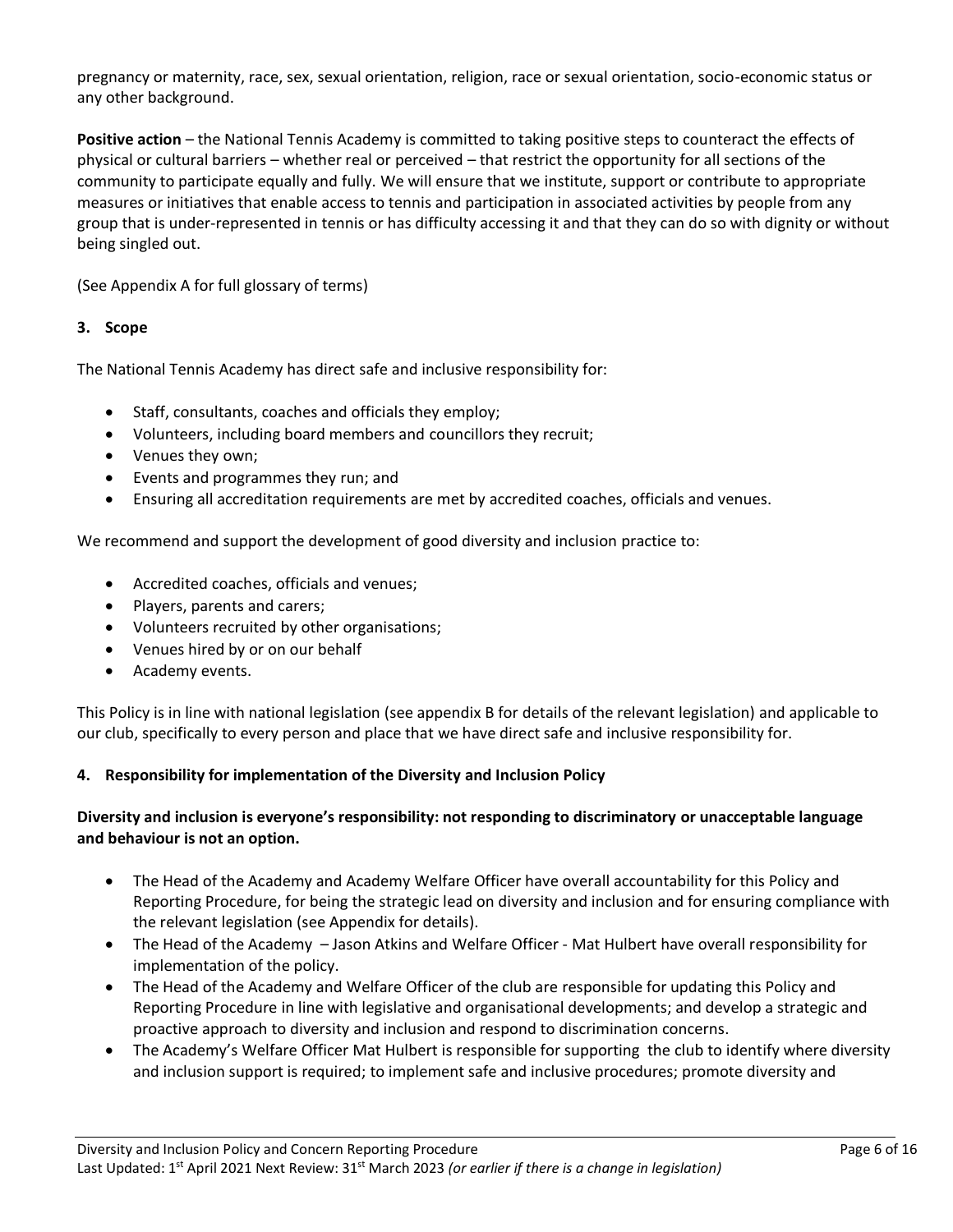pregnancy or maternity, race, sex, sexual orientation, religion, race or sexual orientation, socio-economic status or any other background.

**Positive action** – the National Tennis Academy is committed to taking positive steps to counteract the effects of physical or cultural barriers – whether real or perceived – that restrict the opportunity for all sections of the community to participate equally and fully. We will ensure that we institute, support or contribute to appropriate measures or initiatives that enable access to tennis and participation in associated activities by people from any group that is under-represented in tennis or has difficulty accessing it and that they can do so with dignity or without being singled out.

(See Appendix A for full glossary of terms)

# **3. Scope**

The National Tennis Academy has direct safe and inclusive responsibility for:

- Staff, consultants, coaches and officials they employ;
- Volunteers, including board members and councillors they recruit;
- Venues they own;
- Events and programmes they run; and
- Ensuring all accreditation requirements are met by accredited coaches, officials and venues.

We recommend and support the development of good diversity and inclusion practice to:

- Accredited coaches, officials and venues;
- Players, parents and carers;
- Volunteers recruited by other organisations;
- Venues hired by or on our behalf
- Academy events.

This Policy is in line with national legislation (see appendix B for details of the relevant legislation) and applicable to our club, specifically to every person and place that we have direct safe and inclusive responsibility for.

# **4. Responsibility for implementation of the Diversity and Inclusion Policy**

# **Diversity and inclusion is everyone's responsibility: not responding to discriminatory or unacceptable language and behaviour is not an option.**

- The Head of the Academy and Academy Welfare Officer have overall accountability for this Policy and Reporting Procedure, for being the strategic lead on diversity and inclusion and for ensuring compliance with the relevant legislation (see Appendix for details).
- The Head of the Academy Jason Atkins and Welfare Officer Mat Hulbert have overall responsibility for implementation of the policy.
- The Head of the Academy and Welfare Officer of the club are responsible for updating this Policy and Reporting Procedure in line with legislative and organisational developments; and develop a strategic and proactive approach to diversity and inclusion and respond to discrimination concerns.
- The Academy's Welfare Officer Mat Hulbert is responsible for supporting the club to identify where diversity and inclusion support is required; to implement safe and inclusive procedures; promote diversity and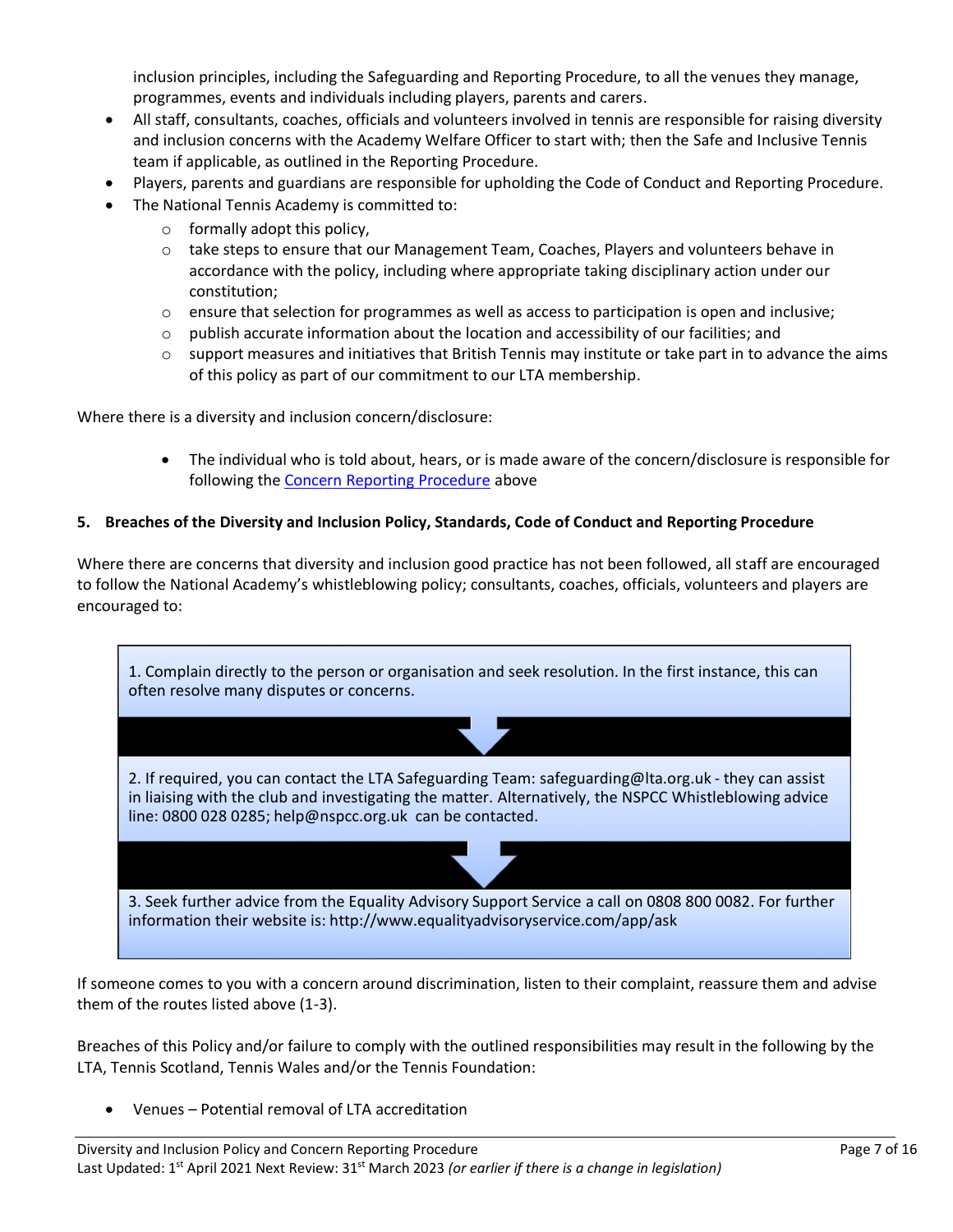inclusion principles, including the Safeguarding and Reporting Procedure, to all the venues they manage, programmes, events and individuals including players, parents and carers.

- All staff, consultants, coaches, officials and volunteers involved in tennis are responsible for raising diversity and inclusion concerns with the Academy Welfare Officer to start with; then the Safe and Inclusive Tennis team if applicable, as outlined in the Reporting Procedure.
- Players, parents and guardians are responsible for upholding the Code of Conduct and Reporting Procedure.
- The National Tennis Academy is committed to:
	- o formally adopt this policy,
	- $\circ$  take steps to ensure that our Management Team, Coaches, Players and volunteers behave in accordance with the policy, including where appropriate taking disciplinary action under our constitution;
	- $\circ$  ensure that selection for programmes as well as access to participation is open and inclusive;
	- $\circ$  publish accurate information about the location and accessibility of our facilities; and
	- $\circ$  support measures and initiatives that British Tennis may institute or take part in to advance the aims of this policy as part of our commitment to our LTA membership.

Where there is a diversity and inclusion concern/disclosure:

• The individual who is told about, hears, or is made aware of the concern/disclosure is responsible for following the [Concern Reporting Procedure](#page-0-0) above

#### **5. Breaches of the Diversity and Inclusion Policy, Standards, Code of Conduct and Reporting Procedure**

Where there are concerns that diversity and inclusion good practice has not been followed, all staff are encouraged to follow the National Academy's whistleblowing policy; consultants, coaches, officials, volunteers and players are encouraged to:



If someone comes to you with a concern around discrimination, listen to their complaint, reassure them and advise them of the routes listed above (1-3).

Breaches of this Policy and/or failure to comply with the outlined responsibilities may result in the following by the LTA, Tennis Scotland, Tennis Wales and/or the Tennis Foundation:

• Venues – Potential removal of LTA accreditation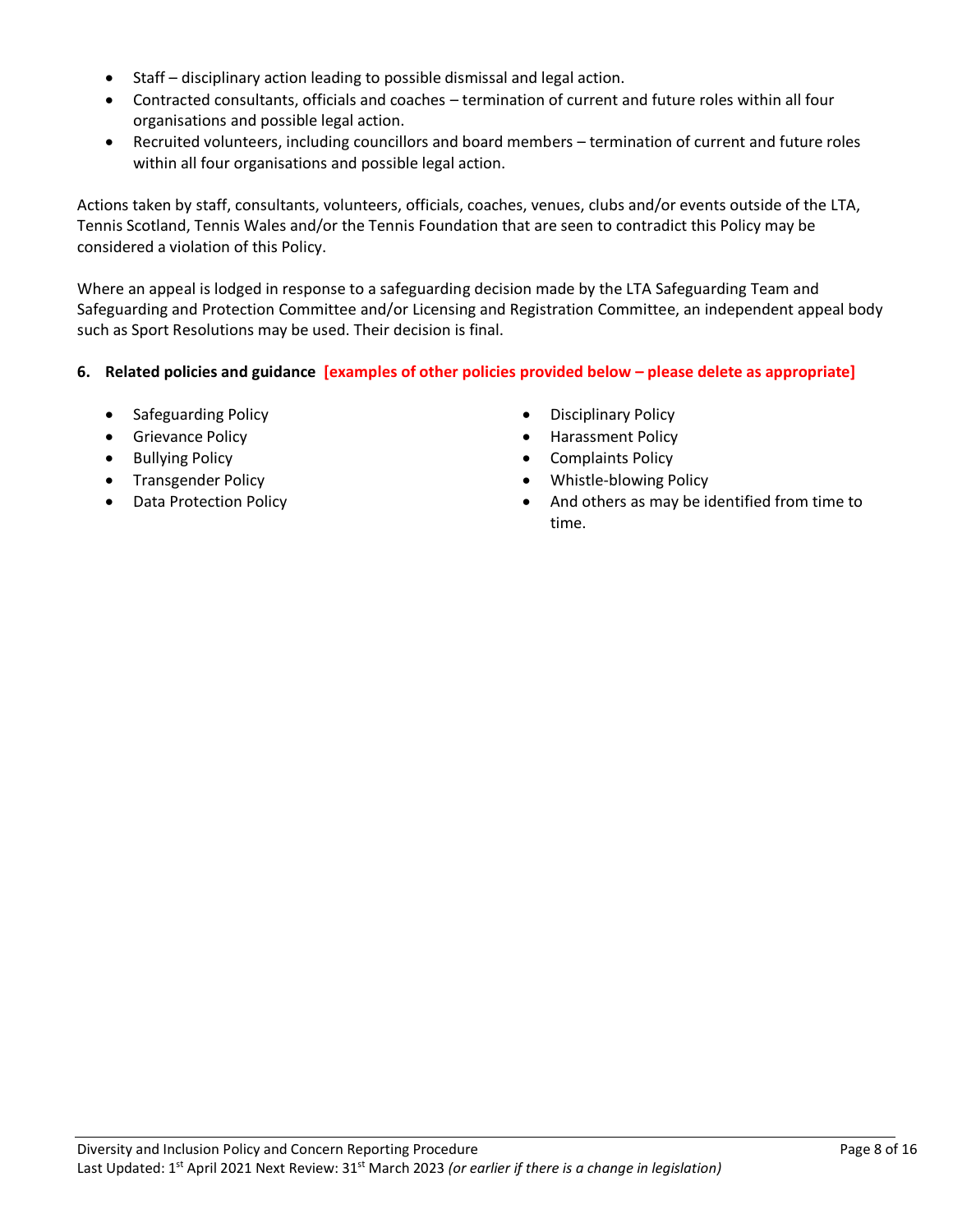- Staff disciplinary action leading to possible dismissal and legal action.
- Contracted consultants, officials and coaches termination of current and future roles within all four organisations and possible legal action.
- Recruited volunteers, including councillors and board members termination of current and future roles within all four organisations and possible legal action.

Actions taken by staff, consultants, volunteers, officials, coaches, venues, clubs and/or events outside of the LTA, Tennis Scotland, Tennis Wales and/or the Tennis Foundation that are seen to contradict this Policy may be considered a violation of this Policy.

Where an appeal is lodged in response to a safeguarding decision made by the LTA Safeguarding Team and Safeguarding and Protection Committee and/or Licensing and Registration Committee, an independent appeal body such as Sport Resolutions may be used. Their decision is final.

# **6. Related policies and guidance [examples of other policies provided below – please delete as appropriate]**

- Safeguarding Policy  **Disciplinary Policy** Disciplinary Policy
- 
- 
- 
- 
- 
- Grievance Policy  **Harassment Policy** Harassment Policy
- Bullying Policy  **Complaints Policy Complaints Policy**
- Transgender Policy  **Whistle-blowing Policy**
- Data Protection Policy  **And others as may be identified from time to** time.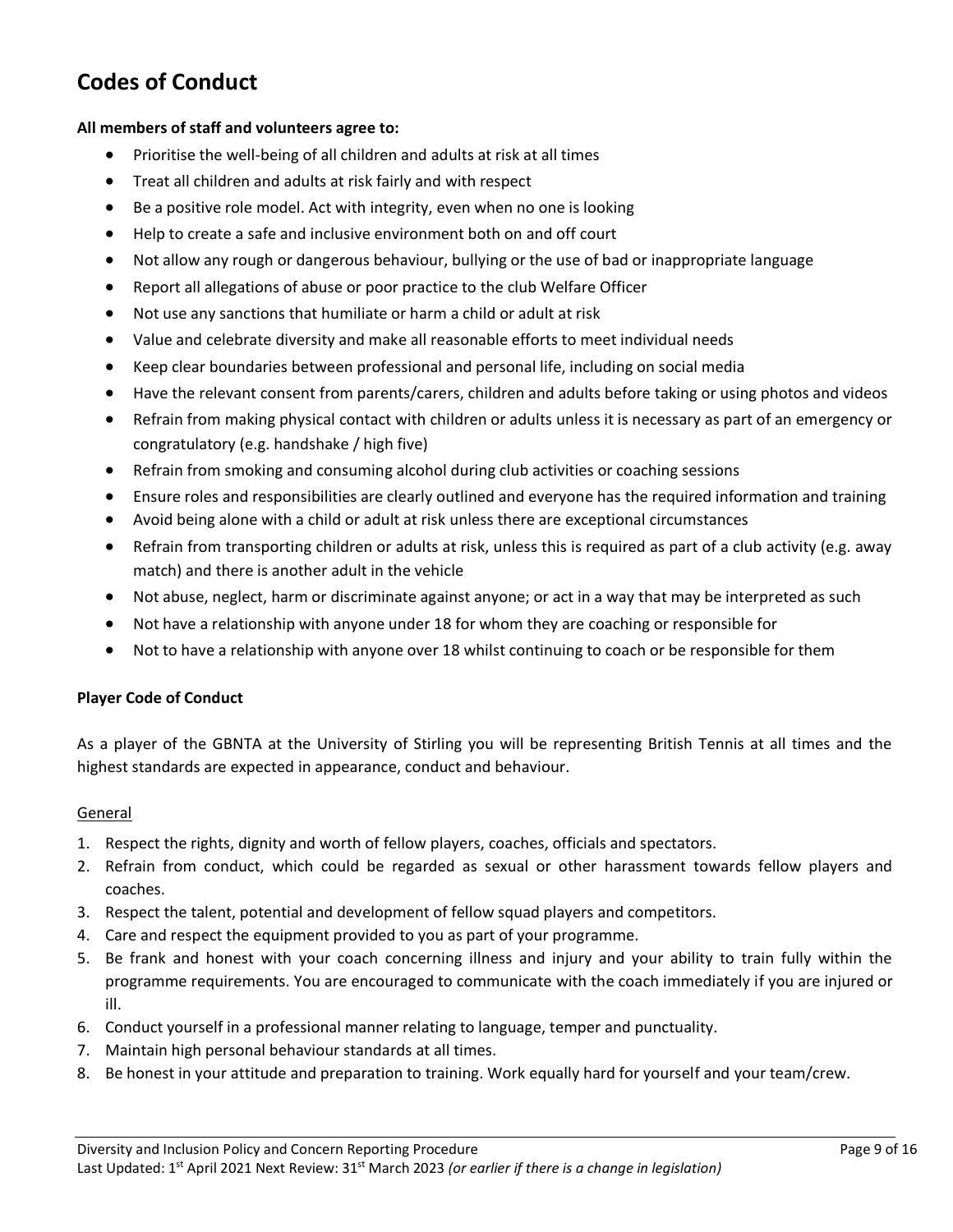# **Codes of Conduct**

#### **All members of staff and volunteers agree to:**

- Prioritise the well-being of all children and adults at risk at all times
- Treat all children and adults at risk fairly and with respect
- Be a positive role model. Act with integrity, even when no one is looking
- Help to create a safe and inclusive environment both on and off court
- Not allow any rough or dangerous behaviour, bullying or the use of bad or inappropriate language
- Report all allegations of abuse or poor practice to the club Welfare Officer
- Not use any sanctions that humiliate or harm a child or adult at risk
- Value and celebrate diversity and make all reasonable efforts to meet individual needs
- Keep clear boundaries between professional and personal life, including on social media
- Have the relevant consent from parents/carers, children and adults before taking or using photos and videos
- Refrain from making physical contact with children or adults unless it is necessary as part of an emergency or congratulatory (e.g. handshake / high five)
- Refrain from smoking and consuming alcohol during club activities or coaching sessions
- Ensure roles and responsibilities are clearly outlined and everyone has the required information and training
- Avoid being alone with a child or adult at risk unless there are exceptional circumstances
- Refrain from transporting children or adults at risk, unless this is required as part of a club activity (e.g. away match) and there is another adult in the vehicle
- Not abuse, neglect, harm or discriminate against anyone; or act in a way that may be interpreted as such
- Not have a relationship with anyone under 18 for whom they are coaching or responsible for
- Not to have a relationship with anyone over 18 whilst continuing to coach or be responsible for them

#### **Player Code of Conduct**

As a player of the GBNTA at the University of Stirling you will be representing British Tennis at all times and the highest standards are expected in appearance, conduct and behaviour.

#### General

- 1. Respect the rights, dignity and worth of fellow players, coaches, officials and spectators.
- 2. Refrain from conduct, which could be regarded as sexual or other harassment towards fellow players and coaches.
- 3. Respect the talent, potential and development of fellow squad players and competitors.
- 4. Care and respect the equipment provided to you as part of your programme.
- 5. Be frank and honest with your coach concerning illness and injury and your ability to train fully within the programme requirements. You are encouraged to communicate with the coach immediately if you are injured or ill.
- 6. Conduct yourself in a professional manner relating to language, temper and punctuality.
- 7. Maintain high personal behaviour standards at all times.
- 8. Be honest in your attitude and preparation to training. Work equally hard for yourself and your team/crew.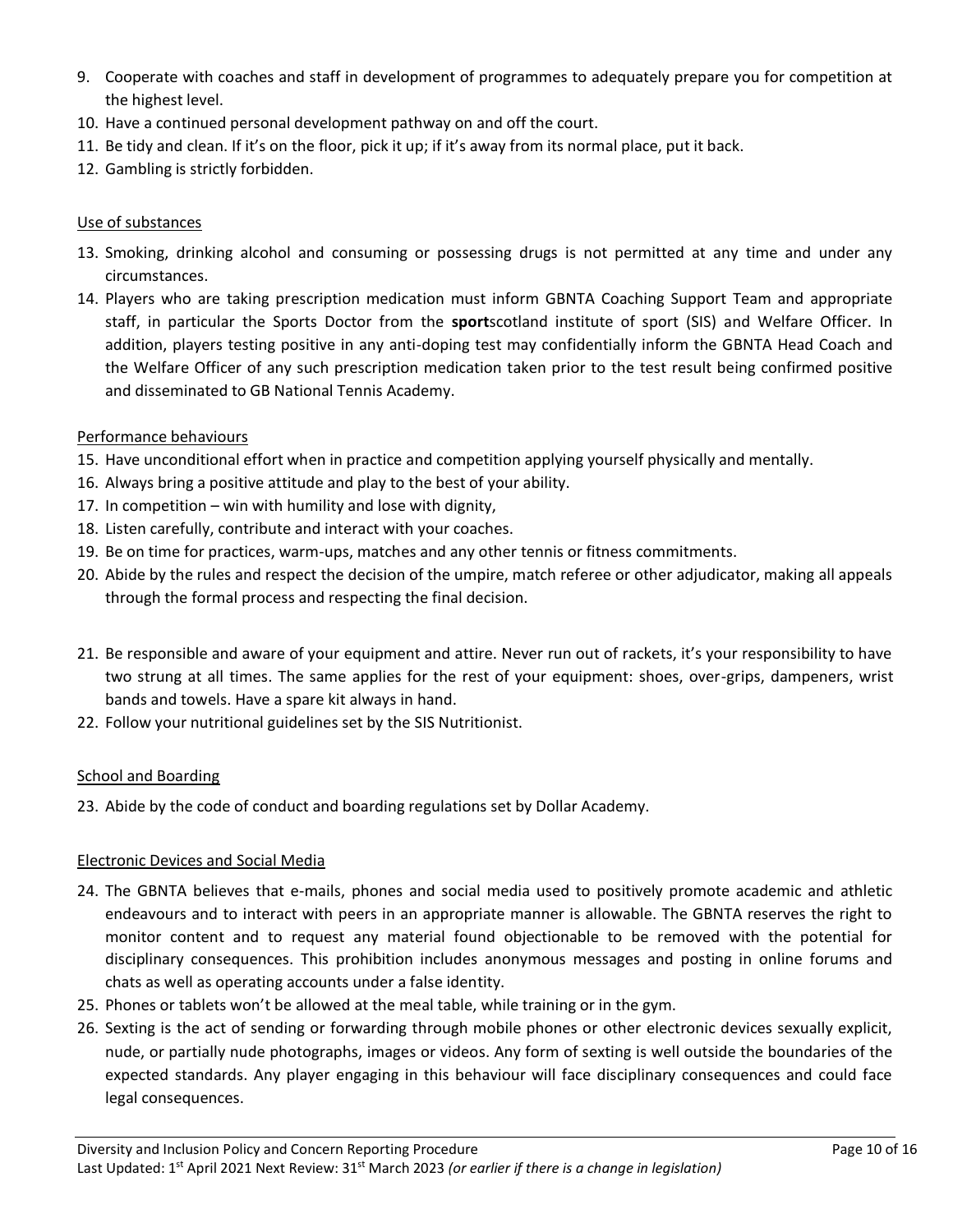- 9. Cooperate with coaches and staff in development of programmes to adequately prepare you for competition at the highest level.
- 10. Have a continued personal development pathway on and off the court.
- 11. Be tidy and clean. If it's on the floor, pick it up; if it's away from its normal place, put it back.
- 12. Gambling is strictly forbidden.

# Use of substances

- 13. Smoking, drinking alcohol and consuming or possessing drugs is not permitted at any time and under any circumstances.
- 14. Players who are taking prescription medication must inform GBNTA Coaching Support Team and appropriate staff, in particular the Sports Doctor from the **sport**scotland institute of sport (SIS) and Welfare Officer. In addition, players testing positive in any anti-doping test may confidentially inform the GBNTA Head Coach and the Welfare Officer of any such prescription medication taken prior to the test result being confirmed positive and disseminated to GB National Tennis Academy.

# Performance behaviours

- 15. Have unconditional effort when in practice and competition applying yourself physically and mentally.
- 16. Always bring a positive attitude and play to the best of your ability.
- 17. In competition win with humility and lose with dignity,
- 18. Listen carefully, contribute and interact with your coaches.
- 19. Be on time for practices, warm-ups, matches and any other tennis or fitness commitments.
- 20. Abide by the rules and respect the decision of the umpire, match referee or other adjudicator, making all appeals through the formal process and respecting the final decision.
- 21. Be responsible and aware of your equipment and attire. Never run out of rackets, it's your responsibility to have two strung at all times. The same applies for the rest of your equipment: shoes, over-grips, dampeners, wrist bands and towels. Have a spare kit always in hand.
- 22. Follow your nutritional guidelines set by the SIS Nutritionist.

#### School and Boarding

23. Abide by the code of conduct and boarding regulations set by Dollar Academy.

#### Electronic Devices and Social Media

- 24. The GBNTA believes that e-mails, phones and social media used to positively promote academic and athletic endeavours and to interact with peers in an appropriate manner is allowable. The GBNTA reserves the right to monitor content and to request any material found objectionable to be removed with the potential for disciplinary consequences. This prohibition includes anonymous messages and posting in online forums and chats as well as operating accounts under a false identity.
- 25. Phones or tablets won't be allowed at the meal table, while training or in the gym.
- 26. Sexting is the act of sending or forwarding through mobile phones or other electronic devices sexually explicit, nude, or partially nude photographs, images or videos. Any form of sexting is well outside the boundaries of the expected standards. Any player engaging in this behaviour will face disciplinary consequences and could face legal consequences.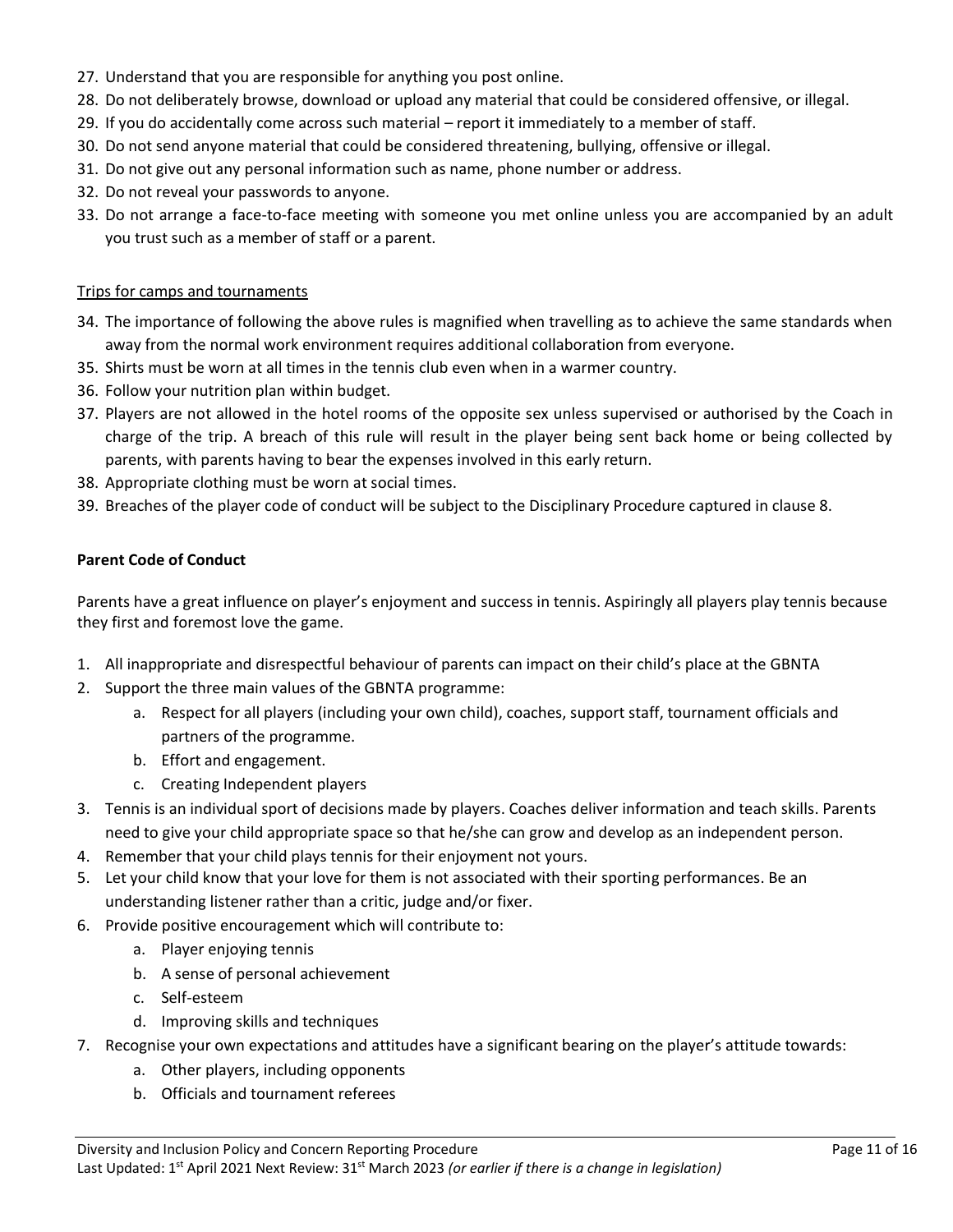- 27. Understand that you are responsible for anything you post online.
- 28. Do not deliberately browse, download or upload any material that could be considered offensive, or illegal.
- 29. If you do accidentally come across such material report it immediately to a member of staff.
- 30. Do not send anyone material that could be considered threatening, bullying, offensive or illegal.
- 31. Do not give out any personal information such as name, phone number or address.
- 32. Do not reveal your passwords to anyone.
- 33. Do not arrange a face-to-face meeting with someone you met online unless you are accompanied by an adult you trust such as a member of staff or a parent.

#### Trips for camps and tournaments

- 34. The importance of following the above rules is magnified when travelling as to achieve the same standards when away from the normal work environment requires additional collaboration from everyone.
- 35. Shirts must be worn at all times in the tennis club even when in a warmer country.
- 36. Follow your nutrition plan within budget.
- 37. Players are not allowed in the hotel rooms of the opposite sex unless supervised or authorised by the Coach in charge of the trip. A breach of this rule will result in the player being sent back home or being collected by parents, with parents having to bear the expenses involved in this early return.
- 38. Appropriate clothing must be worn at social times.
- 39. Breaches of the player code of conduct will be subject to the Disciplinary Procedure captured in clause 8.

#### **Parent Code of Conduct**

Parents have a great influence on player's enjoyment and success in tennis. Aspiringly all players play tennis because they first and foremost love the game.

- 1. All inappropriate and disrespectful behaviour of parents can impact on their child's place at the GBNTA
- 2. Support the three main values of the GBNTA programme:
	- a. Respect for all players (including your own child), coaches, support staff, tournament officials and partners of the programme.
	- b. Effort and engagement.
	- c. Creating Independent players
- 3. Tennis is an individual sport of decisions made by players. Coaches deliver information and teach skills. Parents need to give your child appropriate space so that he/she can grow and develop as an independent person.
- 4. Remember that your child plays tennis for their enjoyment not yours.
- 5. Let your child know that your love for them is not associated with their sporting performances. Be an understanding listener rather than a critic, judge and/or fixer.
- 6. Provide positive encouragement which will contribute to:
	- a. Player enjoying tennis
	- b. A sense of personal achievement
	- c. Self-esteem
	- d. Improving skills and techniques
- 7. Recognise your own expectations and attitudes have a significant bearing on the player's attitude towards:
	- a. Other players, including opponents
	- b. Officials and tournament referees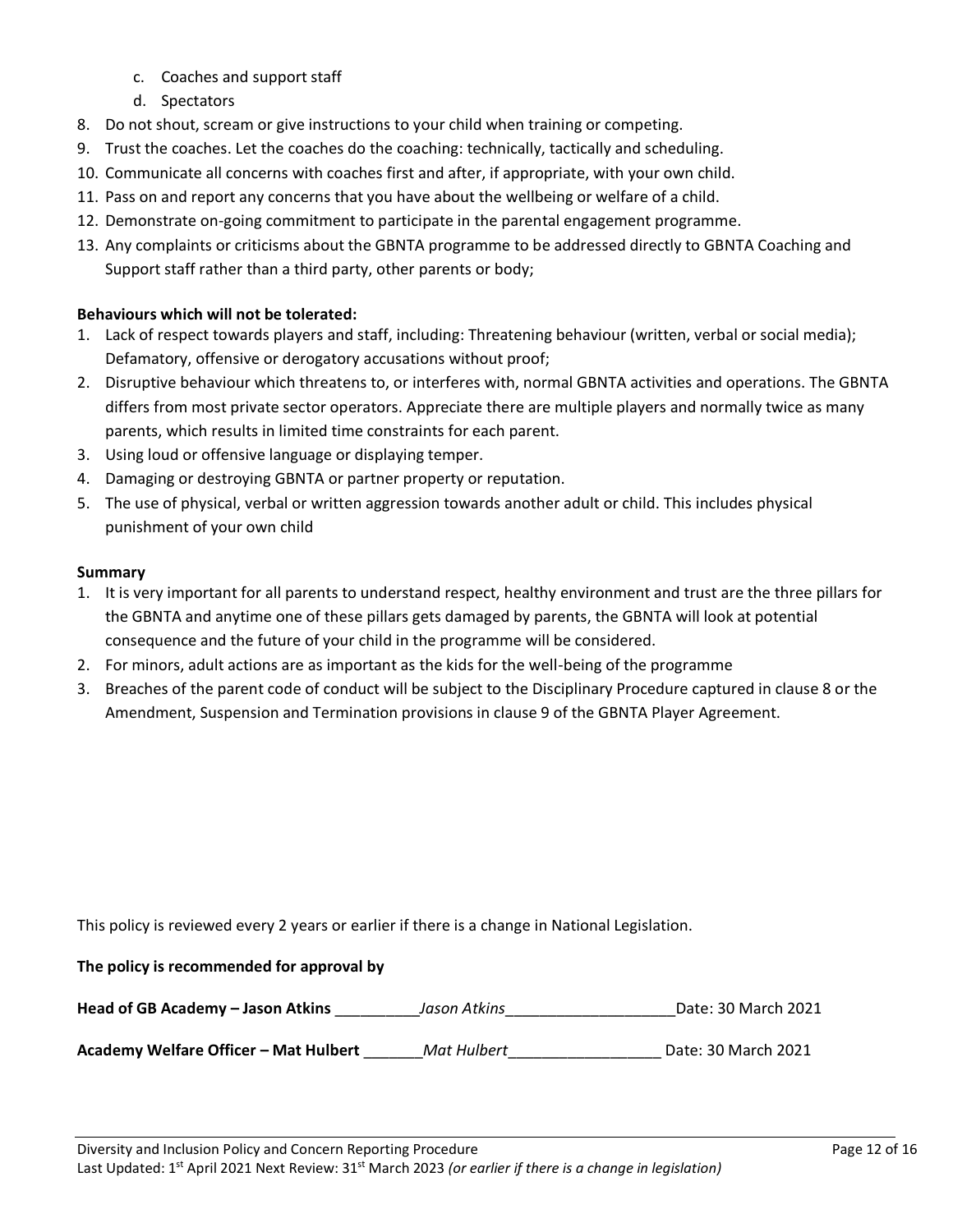- c. Coaches and support staff
- d. Spectators
- 8. Do not shout, scream or give instructions to your child when training or competing.
- 9. Trust the coaches. Let the coaches do the coaching: technically, tactically and scheduling.
- 10. Communicate all concerns with coaches first and after, if appropriate, with your own child.
- 11. Pass on and report any concerns that you have about the wellbeing or welfare of a child.
- 12. Demonstrate on-going commitment to participate in the parental engagement programme.
- 13. Any complaints or criticisms about the GBNTA programme to be addressed directly to GBNTA Coaching and Support staff rather than a third party, other parents or body;

# **Behaviours which will not be tolerated:**

- 1. Lack of respect towards players and staff, including: Threatening behaviour (written, verbal or social media); Defamatory, offensive or derogatory accusations without proof;
- 2. Disruptive behaviour which threatens to, or interferes with, normal GBNTA activities and operations. The GBNTA differs from most private sector operators. Appreciate there are multiple players and normally twice as many parents, which results in limited time constraints for each parent.
- 3. Using loud or offensive language or displaying temper.
- 4. Damaging or destroying GBNTA or partner property or reputation.
- 5. The use of physical, verbal or written aggression towards another adult or child. This includes physical punishment of your own child

# **Summary**

- 1. It is very important for all parents to understand respect, healthy environment and trust are the three pillars for the GBNTA and anytime one of these pillars gets damaged by parents, the GBNTA will look at potential consequence and the future of your child in the programme will be considered.
- 2. For minors, adult actions are as important as the kids for the well-being of the programme
- 3. Breaches of the parent code of conduct will be subject to the Disciplinary Procedure captured in clause 8 or the Amendment, Suspension and Termination provisions in clause 9 of the GBNTA Player Agreement.

This policy is reviewed every 2 years or earlier if there is a change in National Legislation.

# **The policy is recommended for approval by**

**Head of GB Academy – Jason Atkins** \_\_\_\_\_\_\_\_\_\_*Jason Atkins*\_\_\_\_\_\_\_\_\_\_\_\_\_\_\_\_\_\_\_\_Date: 30 March 2021

**Academy Welfare Officer – Mat Hulbert** \_\_\_\_\_\_\_*Mat Hulbert*\_\_\_\_\_\_\_\_\_\_\_\_\_\_\_\_\_\_ Date: 30 March 2021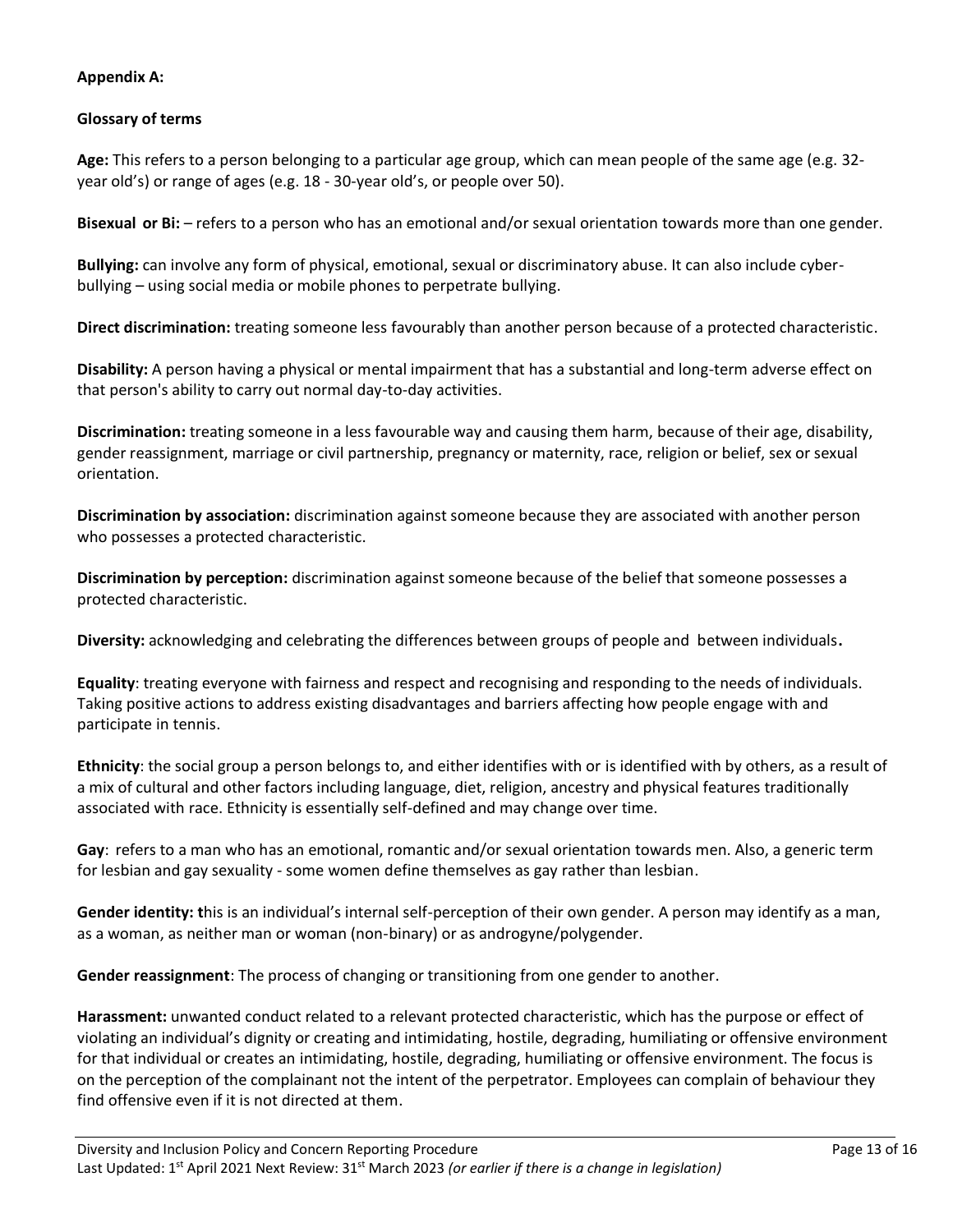# **Appendix A:**

# **Glossary of terms**

**Age:** This refers to a person belonging to a particular age group, which can mean people of the same age (e.g. 32 year old's) or range of ages (e.g. 18 - 30-year old's, or people over 50).

**Bisexual or Bi:** – refers to a person who has an emotional and/or sexual orientation towards more than one gender.

**Bullying:** can involve any form of physical, emotional, sexual or discriminatory abuse. It can also include cyberbullying – using social media or mobile phones to perpetrate bullying.

**Direct discrimination:** treating someone less favourably than another person because of a protected characteristic.

**Disability:** A person having a physical or mental impairment that has a substantial and long-term adverse effect on that person's ability to carry out normal day-to-day activities.

**Discrimination:** treating someone in a less favourable way and causing them harm, because of their age, disability, gender reassignment, marriage or civil partnership, pregnancy or maternity, race, religion or belief, sex or sexual orientation.

**Discrimination by association:** discrimination against someone because they are associated with another person who possesses a protected characteristic.

**Discrimination by perception:** discrimination against someone because of the belief that someone possesses a protected characteristic.

**Diversity:** acknowledging and celebrating the differences between groups of people and between individuals**.**

**Equality**: treating everyone with fairness and respect and recognising and responding to the needs of individuals. Taking positive actions to address existing disadvantages and barriers affecting how people engage with and participate in tennis.

**Ethnicity**: the social group a person belongs to, and either identifies with or is identified with by others, as a result of a mix of cultural and other factors including language, diet, religion, ancestry and physical features traditionally associated with race. Ethnicity is essentially self-defined and may change over time.

**Gay**: refers to a man who has an emotional, romantic and/or sexual orientation towards men. Also, a generic term for lesbian and gay sexuality - some women define themselves as gay rather than lesbian.

**Gender identity: t**his is an individual's internal self-perception of their own gender. A person may identify as a man, as a woman, as neither man or woman (non-binary) or as androgyne/polygender.

**Gender reassignment**: The process of changing or transitioning from one gender to another.

**Harassment:** unwanted conduct related to a relevant protected characteristic, which has the purpose or effect of violating an individual's dignity or creating and intimidating, hostile, degrading, humiliating or offensive environment for that individual or creates an intimidating, hostile, degrading, humiliating or offensive environment. The focus is on the perception of the complainant not the intent of the perpetrator. Employees can complain of behaviour they find offensive even if it is not directed at them.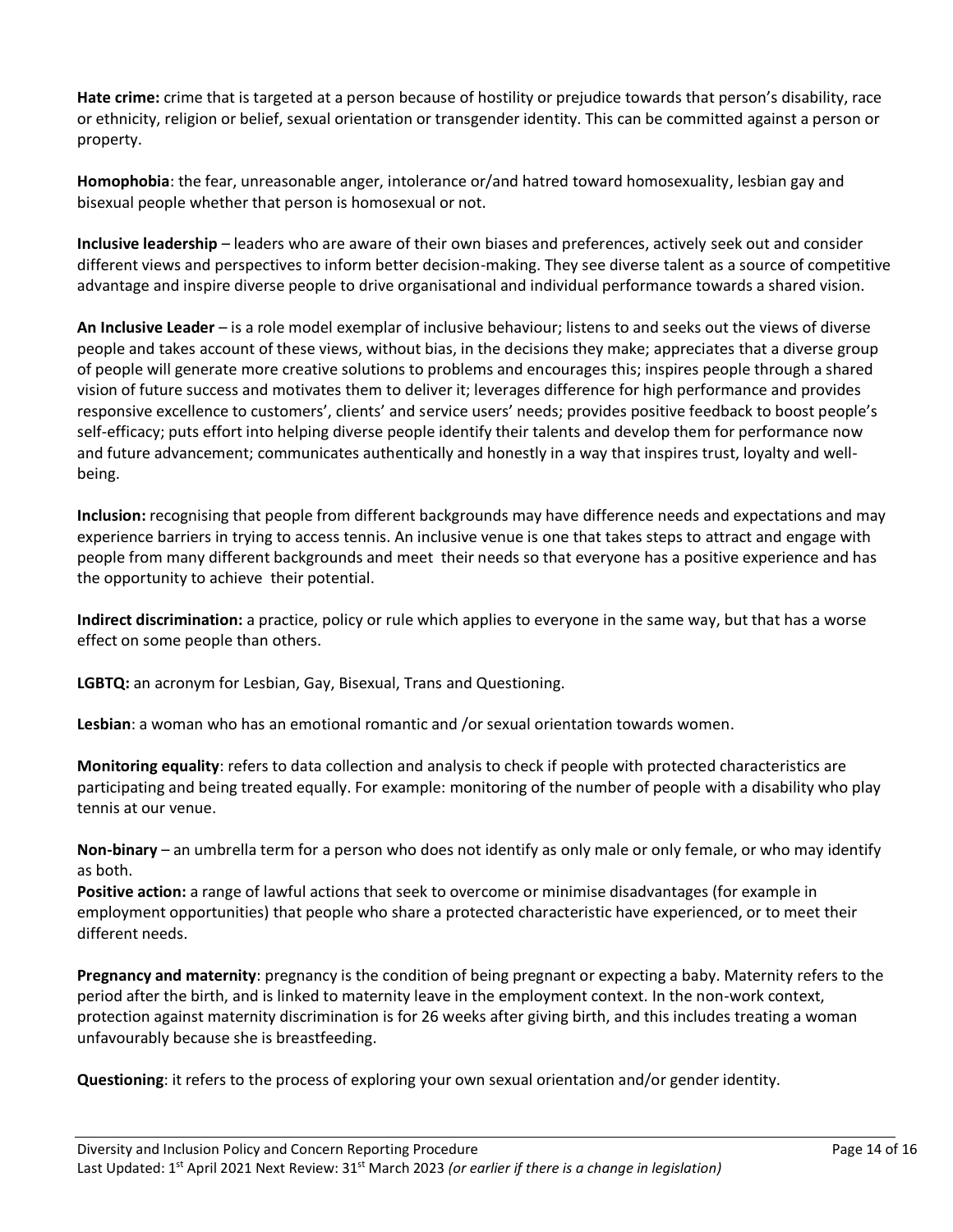**Hate crime:** crime that is targeted at a person because of hostility or prejudice towards that person's disability, race or ethnicity, religion or belief, sexual orientation or transgender identity. This can be committed against a person or property.

**Homophobia**: the fear, unreasonable anger, intolerance or/and hatred toward homosexuality, lesbian gay and bisexual people whether that person is homosexual or not.

**Inclusive leadership** – leaders who are aware of their own biases and preferences, actively seek out and consider different views and perspectives to inform better decision-making. They see diverse talent as a source of competitive advantage and inspire diverse people to drive organisational and individual performance towards a shared vision.

**An Inclusive Leader** – is a role model exemplar of inclusive behaviour; listens to and seeks out the views of diverse people and takes account of these views, without bias, in the decisions they make; appreciates that a diverse group of people will generate more creative solutions to problems and encourages this; inspires people through a shared vision of future success and motivates them to deliver it; leverages difference for high performance and provides responsive excellence to customers', clients' and service users' needs; provides positive feedback to boost people's self-efficacy; puts effort into helping diverse people identify their talents and develop them for performance now and future advancement; communicates authentically and honestly in a way that inspires trust, loyalty and wellbeing.

**Inclusion:** recognising that people from different backgrounds may have difference needs and expectations and may experience barriers in trying to access tennis. An inclusive venue is one that takes steps to attract and engage with people from many different backgrounds and meet their needs so that everyone has a positive experience and has the opportunity to achieve their potential.

**Indirect discrimination:** a practice, policy or rule which applies to everyone in the same way, but that has a worse effect on some people than others.

**LGBTQ:** an acronym for Lesbian, Gay, Bisexual, Trans and Questioning.

**Lesbian**: a woman who has an emotional romantic and /or sexual orientation towards women.

**Monitoring equality**: refers to data collection and analysis to check if people with protected characteristics are participating and being treated equally. For example: monitoring of the number of people with a disability who play tennis at our venue.

**Non-binary** – an umbrella term for a person who does not identify as only male or only female, or who may identify as both.

**Positive action:** a range of lawful actions that seek to overcome or minimise disadvantages (for example in employment opportunities) that people who share a protected characteristic have experienced, or to meet their different needs.

**Pregnancy and maternity**: pregnancy is the condition of being pregnant or expecting a baby. Maternity refers to the period after the birth, and is linked to maternity leave in the employment context. In the non-work context, protection against maternity discrimination is for 26 weeks after giving birth, and this includes treating a woman unfavourably because she is breastfeeding.

**Questioning**: it refers to the process of exploring your own sexual orientation and/or gender identity.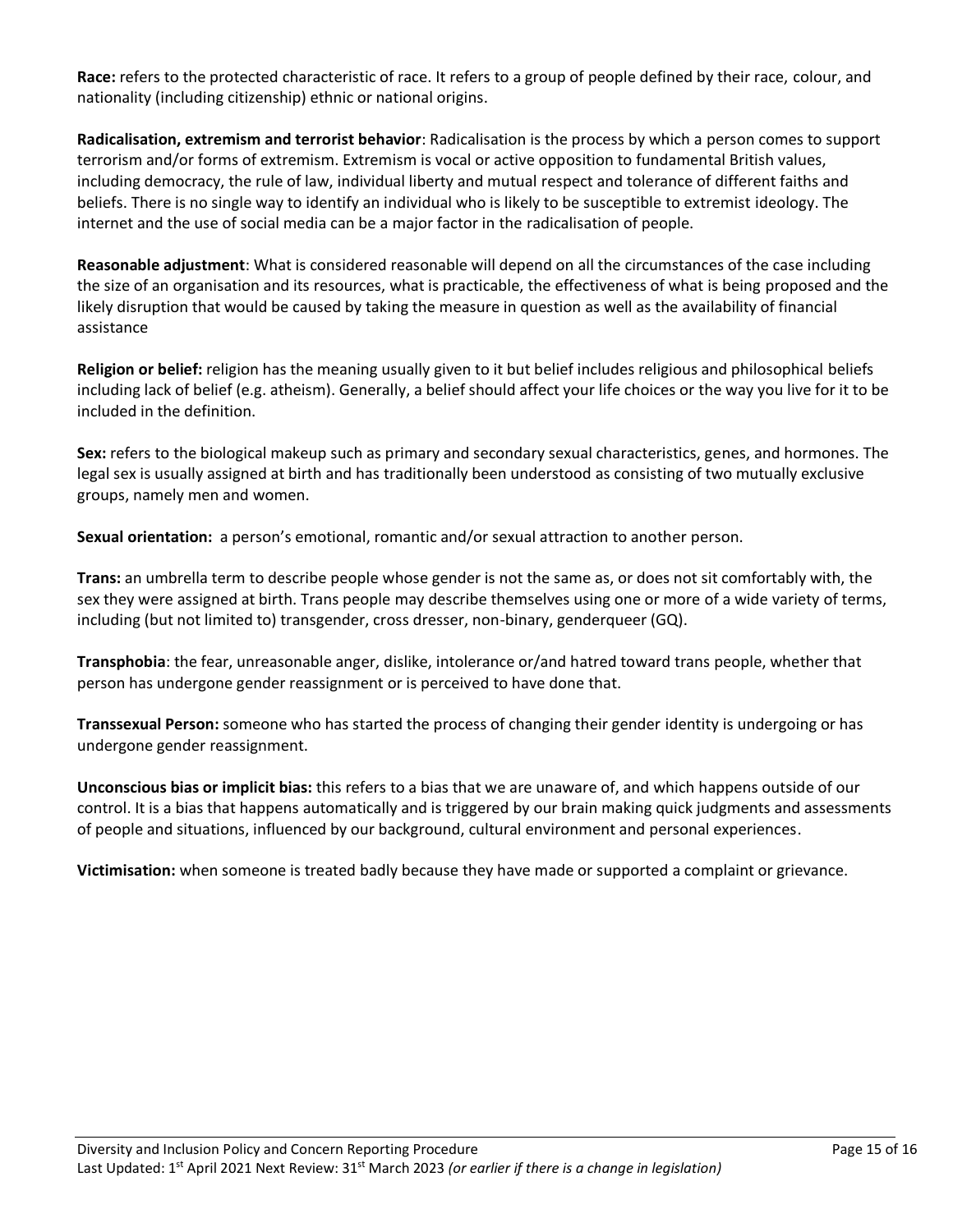**Race:** refers to the protected characteristic of race. It refers to a group of people defined by their race, colour, and nationality (including citizenship) ethnic or national origins.

**Radicalisation, extremism and terrorist behavior**: Radicalisation is the process by which a person comes to support terrorism and/or forms of extremism. Extremism is vocal or active opposition to fundamental British values, including democracy, the rule of law, individual liberty and mutual respect and tolerance of different faiths and beliefs. There is no single way to identify an individual who is likely to be susceptible to extremist ideology. The internet and the use of social media can be a major factor in the radicalisation of people.

**Reasonable adjustment**: What is considered reasonable will depend on all the circumstances of the case including the size of an organisation and its resources, what is practicable, the effectiveness of what is being proposed and the likely disruption that would be caused by taking the measure in question as well as the availability of financial assistance

**Religion or belief:** religion has the meaning usually given to it but belief includes religious and philosophical beliefs including lack of belief (e.g. atheism). Generally, a belief should affect your life choices or the way you live for it to be included in the definition.

**Sex:** refers to the biological makeup such as primary and secondary sexual characteristics, genes, and hormones. The legal sex is usually assigned at birth and has traditionally been understood as consisting of two mutually exclusive groups, namely men and women.

**Sexual orientation:** a person's emotional, romantic and/or sexual attraction to another person.

**Trans:** an umbrella term to describe people whose gender is not the same as, or does not sit comfortably with, the sex they were assigned at birth. Trans people may describe themselves using one or more of a wide variety of terms, including (but not limited to) transgender, cross dresser, non-binary, genderqueer (GQ).

**Transphobia**: the fear, unreasonable anger, dislike, intolerance or/and hatred toward trans people, whether that person has undergone gender reassignment or is perceived to have done that.

**Transsexual Person:** someone who has started the process of changing their gender identity is undergoing or has undergone gender reassignment.

**Unconscious bias or implicit bias:** this refers to a bias that we are unaware of, and which happens outside of our control. It is a bias that happens automatically and is triggered by our brain making quick judgments and assessments of people and situations, influenced by our background, cultural environment and personal experiences.

**Victimisation:** when someone is treated badly because they have made or supported a complaint or grievance.